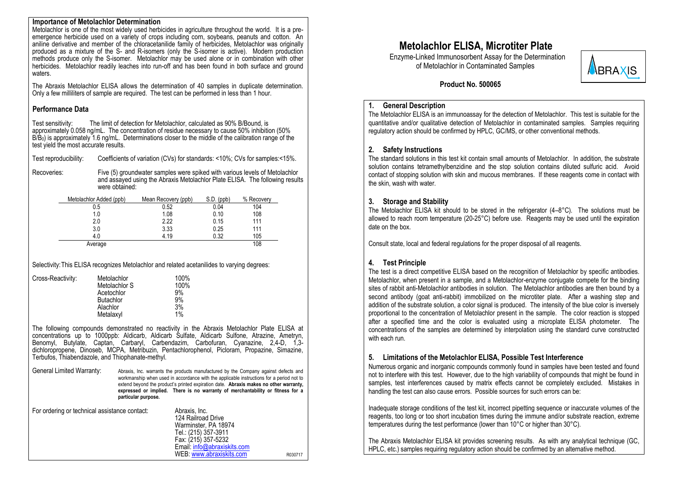#### **Importance of Metolachlor Determination**

Metolachlor is one of the most widely used herbicides in agriculture throughout the world. It is a preemergence herbicide used on a variety of crops including corn, soybeans, peanuts and cotton. An aniline derivative and member of the chloracetanilide family of herbicides, Metolachlor was originally produced as a mixture of the S- and R-isomers (only the S-isomer is active). Modern production methods produce only the S-isomer. Metolachlor may be used alone or in combination with other herbicides. Metolachlor readily leaches into run-off and has been found in both surface and ground waters.

The Abraxis Metolachlor ELISA allows the determination of 40 samples in duplicate determination. Only a few milliliters of sample are required. The test can be performed in less than 1 hour.

#### **Performance Data**

Test sensitivity: The limit of detection for Metolachlor, calculated as 90% B/Bound, is approximately 0.058 ng/mL. The concentration of residue necessary to cause 50% inhibition (50%  $B/B<sub>0</sub>$ ) is approximately 1.6 ng/mL. Determinations closer to the middle of the calibration range of the test yield the most accurate results.

Test reproducibility: Coefficients of variation (CVs) for standards: <10%; CVs for samples:<15%.

Recoveries: Five (5) groundwater samples were spiked with various levels of Metolachlor and assayed using the Abraxis Metolachlor Plate ELISA. The following results were obtained:

| Metolachlor Added (ppb) | Mean Recovery (ppb) | $S.D.$ (ppb) | % Recovery |
|-------------------------|---------------------|--------------|------------|
| 0.5                     | 0.52                | 0.04         | 104        |
| 1.0                     | 1.08                | 0.10         | 108        |
| 2.0                     | 2.22                | 0.15         | 111        |
| 3.0                     | 3.33                | 0.25         | 111        |
| 4.0                     | 4.19                | 0.32         | 105        |
| Average                 |                     |              | 108        |

Selectivity:This ELISA recognizes Metolachlor and related acetanilides to varying degrees:

| Cross-Reactivity: | Metolachlor      | 100% |
|-------------------|------------------|------|
|                   | Metolachlor S    | 100% |
|                   | Acetochlor       | 9%   |
|                   | <b>Butachlor</b> | 9%   |
|                   | Alachlor         | 3%   |
|                   | Metalaxyl        | 1%   |

The following compounds demonstrated no reactivity in the Abraxis Metolachlor Plate ELISA at concentrations up to 1000ppb: Aldicarb, Aldicarb Sulfate, Aldicarb Sulfone, Atrazine, Ametryn, Benomyl, Butylate, Captan, Carbaryl, Carbendazim, Carbofuran, Cyanazine, 2,4-D, 1,3 dichloropropene, Dinoseb, MCPA, Metribuzin, Pentachlorophenol, Picloram, Propazine, Simazine, Terbufos, Thiabendazole, and Thiophanate-methyl.

General Limited Warranty: Abraxis, Inc. warrants the products manufactured by the Company against defects and workmanship when used in accordance with the applicable instructions for a period not to extend beyond the product's printed expiration date. **Abraxis makes no other warranty, expressed or implied. There is no warranty of merchantability or fitness for a particular purpose.**

| For ordering or technical assistance contact: | Abraxis, Inc.               |         |
|-----------------------------------------------|-----------------------------|---------|
|                                               | 124 Railroad Drive          |         |
|                                               | Warminster, PA 18974        |         |
|                                               | Tel.: (215) 357-3911        |         |
|                                               | Fax: (215) 357-5232         |         |
|                                               | Email: info@abraxiskits.com |         |
|                                               | WEB: www.abraxiskits.com    | R030717 |

# **Metolachlor ELISA, Microtiter Plate**

Enzyme-Linked Immunosorbent Assay for the Determination of Metolachlor in Contaminated Samples



 **Product No. 500065**

#### **1. General Description**

The Metolachlor ELISA is an immunoassay for the detection of Metolachlor. This test is suitable for the quantitative and/or qualitative detection of Metolachlor in contaminated samples. Samples requiring regulatory action should be confirmed by HPLC, GC/MS, or other conventional methods.

#### **2. Safety Instructions**

The standard solutions in this test kit contain small amounts of Metolachlor. In addition, the substrate solution contains tetramethylbenzidine and the stop solution contains diluted sulfuric acid. Avoid contact of stopping solution with skin and mucous membranes. If these reagents come in contact with the skin, wash with water.

## **3. Storage and Stability**

The Metolachlor ELISA kit should to be stored in the refrigerator  $(4-8^{\circ}C)$ . The solutions must be allowed to reach room temperature (20-25°C) before use. Reagents may be used until the expiration date on the box.

Consult state, local and federal regulations for the proper disposal of all reagents.

## **4. Test Principle**

The test is a direct competitive ELISA based on the recognition of Metolachlor by specific antibodies. Metolachlor, when present in a sample, and a Metolachlor-enzyme conjugate compete for the binding sites of rabbit anti-Metolachlor antibodies in solution. The Metolachlor antibodies are then bound by a second antibody (goat anti-rabbit) immobilized on the microtiter plate. After a washing step and addition of the substrate solution, a color signal is produced. The intensity of the blue color is inversely proportional to the concentration of Metolachlor present in the sample. The color reaction is stopped after a specified time and the color is evaluated using a microplate ELISA photometer. The concentrations of the samples are determined by interpolation using the standard curve constructed with each run.

## **5. Limitations of the Metolachlor ELISA, Possible Test Interference**

Numerous organic and inorganic compounds commonly found in samples have been tested and found not to interfere with this test. However, due to the high variability of compounds that might be found in samples, test interferences caused by matrix effects cannot be completely excluded. Mistakes in handling the test can also cause errors. Possible sources for such errors can be:

Inadequate storage conditions of the test kit, incorrect pipetting sequence or inaccurate volumes of the reagents, too long or too short incubation times during the immune and/or substrate reaction, extreme temperatures during the test performance (lower than 10°C or higher than 30°C).

The Abraxis Metolachlor ELISA kit provides screening results. As with any analytical technique (GC, HPLC, etc.) samples requiring regulatory action should be confirmed by an alternative method.